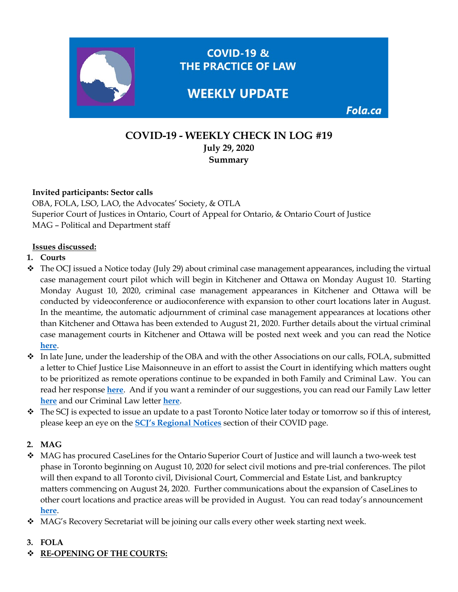

# **COVID-19 - WEEKLY CHECK IN LOG #19 July 29, 2020 Summary**

### **Invited participants: Sector calls**

OBA, FOLA, LSO, LAO, the Advocates' Society, & OTLA Superior Court of Justices in Ontario, Court of Appeal for Ontario, & Ontario Court of Justice MAG – Political and Department staff

#### **Issues discussed:**

### **1. Courts**

- $\bullet$  The OCJ issued a Notice today (July 29) about criminal case management appearances, including the virtual case management court pilot which will begin in Kitchener and Ottawa on Monday August 10. Starting Monday August 10, 2020, criminal case management appearances in Kitchener and Ottawa will be conducted by videoconference or audioconference with expansion to other court locations later in August. In the meantime, the automatic adjournment of criminal case management appearances at locations other than Kitchener and Ottawa has been extended to August 21, 2020. Further details about the virtual criminal case management courts in Kitchener and Ottawa will be posted next week and you can read the Notice **[here](https://www.ontariocourts.ca/ocj/covid-19/notice-criminal-case-management-july28-2020/)**.
- $\cdot$  In late June, under the leadership of the OBA and with the other Associations on our calls, FOLA, submitted a letter to Chief Justice Lise Maisonneuve in an effort to assist the Court in identifying which matters ought to be prioritized as remote operations continue to be expanded in both Family and Criminal Law. You can read her response **[here](https://img1.wsimg.com/blobby/go/63f6349d-d85d-4511-bc5f-4314d54b45d0/downloads/CJM%20response%20to%20FOLA%20letters%20dated%20June%2023%20202.pdf?ver=1596029226545)**. And if you want a reminder of our suggestions, you can read our Family Law letter **[here](https://img1.wsimg.com/blobby/go/63f6349d-d85d-4511-bc5f-4314d54b45d0/downloads/OBA%20President%20letter%20to%20Chief%20Justice%20Maisonne.pdf?ver=1592990841008)** and our Criminal Law letter **[here](https://img1.wsimg.com/blobby/go/63f6349d-d85d-4511-bc5f-4314d54b45d0/downloads/OBA%20President%20letter%20to%20Chief%20Justice%20Maisonne.pdf?ver=1592990741467)**.
- $\bullet$  The SCJ is expected to issue an update to a past Toronto Notice later today or tomorrow so if this of interest, please keep an eye on the **[SCJ's Regional Notices](https://www.ontariocourts.ca/scj/notices-and-orders-covid-19/#REGIONAL_NOTICES)** section of their COVID page.

### **2. MAG**

- MAG has procured CaseLines for the Ontario Superior Court of Justice and will launch a two-week test phase in Toronto beginning on August 10, 2020 for select civil motions and pre-trial conferences. The pilot will then expand to all Toronto civil, Divisional Court, Commercial and Estate List, and bankruptcy matters commencing on August 24, 2020. Further communications about the expansion of CaseLines to other court locations and practice areas will be provided in August. You can read today's announcement **[here](https://img1.wsimg.com/blobby/go/63f6349d-d85d-4511-bc5f-4314d54b45d0/downloads/CJ%20Morawetz%20to%20all%20bar%20associations%20RE%20Caselin.pdf?ver=1596042550574)**.
- ◆ MAG's Recovery Secretariat will be joining our calls every other week starting next week.

### **3. FOLA**

**RE-OPENING OF THE COURTS:**